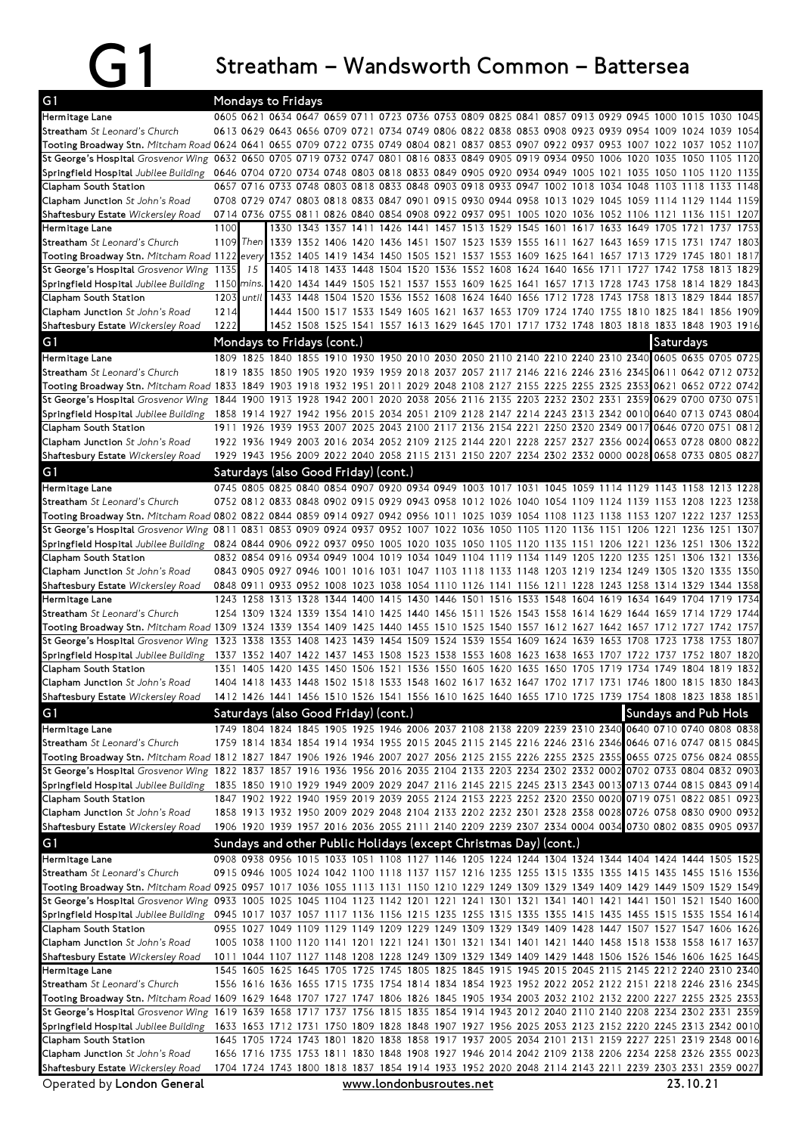## G1 Streatham – Wandsworth Common – Battersea

| G1                                                                                                                                        |      | Mondays to Fridays |      |                                                                                                                                                                                                  |                         |  |  |  |                |                             |                     |           |      |              |
|-------------------------------------------------------------------------------------------------------------------------------------------|------|--------------------|------|--------------------------------------------------------------------------------------------------------------------------------------------------------------------------------------------------|-------------------------|--|--|--|----------------|-----------------------------|---------------------|-----------|------|--------------|
| Hermitage Lane                                                                                                                            |      |                    |      | 0605 0621 0634 0647 0659 0711 0723 0736 0753 0809 0825 0841 0857 0913 0929 0945 1000 1015 1030 1045                                                                                              |                         |  |  |  |                |                             |                     |           |      |              |
| Streatham St Leonard's Church                                                                                                             |      |                    |      | 0613 0629 0643 0656 0709 0721 0734 0749 0806 0822 0838 0853 0908 0923 0939 0954 1009 1024 1039 1054                                                                                              |                         |  |  |  |                |                             |                     |           |      |              |
| Tooting Broadway Stn. Mitcham Road 0624 0641 0655 0709 0722 0735 0749 0804 0821 0837 0853 0907 0922 0937 0953 1007 1022 1037 1052         |      |                    |      |                                                                                                                                                                                                  |                         |  |  |  |                |                             |                     |           |      |              |
| St George's Hospital Grosvenor Wing 0632 0650 0705 0719 0732 0747 0801 0816 0833 0849 0905 0919 0934 0950 1006 1020                       |      |                    |      |                                                                                                                                                                                                  |                         |  |  |  |                |                             | 1035 1050 1105      |           |      | 1120         |
| Springfield Hospital Jubilee Building 0646 0704 0720 0734 0748 0803 0818 0833 0849 0905 0920 0934 0949 1005 1021 1035 1050 1105 1120      |      |                    |      |                                                                                                                                                                                                  |                         |  |  |  |                |                             |                     |           |      |              |
| Clapham South Station                                                                                                                     |      |                    |      | 0657 0716 0733 0748 0803 0818 0833 0848 0903 0918 0933 0947 1002 1018                                                                                                                            |                         |  |  |  | 1034 1048      |                             | 1103                | 1118 1133 |      | 1148         |
| Clapham Junction St John's Road                                                                                                           |      |                    |      | 0708 0729 0747 0803 0818 0833 0847 0901 0915 0930 0944 0958 1013 1029 1045 1059 1114 1129 1144                                                                                                   |                         |  |  |  |                |                             |                     |           |      | 1159         |
| Shaftesbury Estate Wickersley Road<br>Hermitage Lane                                                                                      | 1100 |                    |      | 0714 0736 0755 0811 0826 0840 0854 0908 0922 0937 0951 1005 1020 1036 1052 1106 1121 1136 1151<br>1330 1343 1357 1411 1426 1441 1457 1513 1529 1545 1601 1617 1633 1649 1705 1721 1737           |                         |  |  |  |                |                             |                     |           |      | 1207<br>1753 |
| Streatham St Leonard's Church                                                                                                             | 1109 | Then               |      | 1339 1352 1406 1420 1436 1451 1507 1523 1539 1555 1611 1627 1643 1659 1715 1731                                                                                                                  |                         |  |  |  |                |                             |                     |           | 1747 | 1803         |
| Tooting Broadway Stn. Mitcham Road 1122                                                                                                   |      | every              | 1352 | 1405 1419 1434 1450 1505 1521 1537 1553 1609 1625 1641 1657 1713 1729 1745 1801                                                                                                                  |                         |  |  |  |                |                             |                     |           |      | 1817         |
| St George's Hospital Grosvenor Wing 1135                                                                                                  |      | 15                 | 1405 | 1418 1433 1448 1504 1520 1536 1552 1608 1624 1640 1656 1711 1727 1742 1758 1813 1829                                                                                                             |                         |  |  |  |                |                             |                     |           |      |              |
| Springfield Hospital Jubilee Building                                                                                                     | 1150 | mins.              |      | 1420 1434 1449 1505 1521 1537 1553 1609 1625 1641 1657 1713 1728 1743 1758 1814 1829                                                                                                             |                         |  |  |  |                |                             |                     |           |      |              |
| Clapham South Station                                                                                                                     | 1203 | until              | 1433 | 1448 1504 1520 1536 1552 1608 1624 1640 1656 1712 1728 1743 1758 1813 1829 1844                                                                                                                  |                         |  |  |  |                |                             |                     |           |      |              |
| Clapham Junction St John's Road                                                                                                           | 1214 |                    |      | 1444 1500 1517 1533 1549 1605 1621 1637 1653 1709 1724 1740 1755 1810 1825 1841 1856 1909                                                                                                        |                         |  |  |  |                |                             |                     |           |      |              |
| Shaftesbury Estate Wickersley Road                                                                                                        | 1222 |                    |      | 1452 1508 1525 1541 1557 1613 1629 1645 1701 1717 1732 1748 1803 1818 1833 1848 1903 1916                                                                                                        |                         |  |  |  |                |                             |                     |           |      |              |
| G <sub>1</sub>                                                                                                                            |      |                    |      | Mondays to Fridays (cont.)                                                                                                                                                                       |                         |  |  |  |                |                             | <b>Saturdays</b>    |           |      |              |
| Hermitage Lane                                                                                                                            |      |                    |      | 1809 1825 1840 1855 1910 1930 1950 2010 2030 2050 2110 2140 2210 2240 2310 2340                                                                                                                  |                         |  |  |  |                |                             | 0605 0635 0705 0725 |           |      |              |
| Streatham St Leonard's Church                                                                                                             |      |                    |      | 1819 1835 1850 1905 1920 1939 1959 2018 2037 2057 2117 2146 2216 2246 2316 2345 0611 0642 0712 0732                                                                                              |                         |  |  |  |                |                             |                     |           |      |              |
| Tooting Broadway Stn. Mitcham Road 1833 1849 1903 1918 1932 1951 2011 2029 2048 2108 2127 2155 2225 2255 2325 2353 0621 0652 0722         |      |                    |      |                                                                                                                                                                                                  |                         |  |  |  |                |                             |                     |           |      | 0742         |
| St George's Hospital Grosvenor Wing                                                                                                       |      |                    |      | 1844 1900 1913 1928 1942 2001 2020 2038 2056 2116 2135 2203 2232 2302 2331 2359                                                                                                                  |                         |  |  |  |                |                             | 0629 0700 0730 0751 |           |      |              |
| Springfield Hospital Jubilee Building 1858 1914 1927 1942 1956 2015 2034 2051 2109 2128 2147 2214 2243 2313 2342 0010                     |      |                    |      |                                                                                                                                                                                                  |                         |  |  |  |                |                             | 0640 0713 0743 0804 |           |      |              |
| Clapham South Station                                                                                                                     |      |                    |      | 1911 1926 1939 1953 2007 2025 2043 2100 2117 2136 2154 2221 2250 2320 2349 0017                                                                                                                  |                         |  |  |  |                |                             | 0646 0720 0751      |           |      | 0812         |
| Clapham Junction St John's Road                                                                                                           |      |                    |      | 1922 1936 1949 2003 2016 2034 2052 2109 2125 2144 2201 2228 2257 2327 2356 0024 0653 0728 0800 0822                                                                                              |                         |  |  |  |                |                             |                     |           |      |              |
| Shaftesbury Estate Wickersley Road                                                                                                        |      |                    |      | 1929 1943 1956 2009 2022 2040 2058 2115 2131 2150 2207 2234 2302 2332 0000 0028                                                                                                                  |                         |  |  |  |                |                             | 0658 0733 0805 0827 |           |      |              |
| G1                                                                                                                                        |      |                    |      | Saturdays (also Good Friday) (cont.)                                                                                                                                                             |                         |  |  |  |                |                             |                     |           |      |              |
| Hermitage Lane                                                                                                                            |      |                    |      | 0745 0805 0825 0840 0854 0907 0920 0934 0949 1003 1017 1031 1045 1059 1114 1129 1143 1158 1213 1228                                                                                              |                         |  |  |  |                |                             |                     |           |      |              |
| Streatham St Leonard's Church                                                                                                             |      |                    |      | 0752 0812 0833 0848 0902 0915 0929 0943 0958 1012 1026 1040 1054 1109 1124 1139 1153 1208 1223 1238                                                                                              |                         |  |  |  |                |                             |                     |           |      |              |
| Tooting Broadway Stn. Mitcham Road 0802 0822 0844 0859 0914 0927 0942 0956 1011 1025 1039 1054 1108 1123 1138 1153 1207 1222 1237         |      |                    |      |                                                                                                                                                                                                  |                         |  |  |  |                |                             |                     |           |      |              |
| St George's Hospital Grosvenor Wing 0811                                                                                                  |      |                    |      | 0831 0853 0909 0924 0937 0952 1007 1022 1036 1050 1105 1120                                                                                                                                      |                         |  |  |  |                | 1136 1151 1206 1221         |                     | 1236 1251 |      | 1307         |
| Springfield Hospital Jubilee Building 0824 0844 0906 0922 0937 0950 1005 1020 1035 1050 1105 1120 1135 1151 1206 1221 1236 1251 1306 1322 |      |                    |      |                                                                                                                                                                                                  |                         |  |  |  |                |                             |                     |           |      |              |
| Clapham South Station                                                                                                                     |      |                    |      | 0832 0854 0916 0934 0949 1004 1019 1034 1049 1104 1119 1134 1149 1205 1220 1235 1251                                                                                                             |                         |  |  |  |                |                             |                     | 1306 1321 |      | 1336         |
| Clapham Junction St John's Road                                                                                                           |      |                    |      | 0843 0905 0927 0946 1001 1016 1031 1047 1103 1118 1133 1148 1203 1219 1234 1249 1305 1320 1335                                                                                                   |                         |  |  |  |                |                             |                     |           |      | 1350         |
| Shaftesbury Estate Wickersley Road                                                                                                        |      |                    |      | 0848 0911 0933 0952 1008 1023 1038 1054 1110 1126 1141 1156 1211 1228 1243 1258 1314 1329 1344 1358                                                                                              |                         |  |  |  |                |                             |                     |           |      |              |
| Hermitage Lane<br>Streatham St Leonard's Church                                                                                           |      |                    |      | 1243 1258 1313 1328 1344 1400 1415 1430 1446 1501 1516 1533 1548 1604 1619 1634 1649 1704 1719<br>1254 1309 1324 1339 1354 1410 1425 1440 1456 1511 1526 1543 1558 1614 1629 1644 1659 1714 1729 |                         |  |  |  |                |                             |                     |           |      | 1744         |
| Tooting Broadway Stn. Mitcham Road 1309 1324 1339 1354 1409 1425 1440 1455 1510 1525 1540 1557 1612 1627 1642 1657 1712 1727 1742         |      |                    |      |                                                                                                                                                                                                  |                         |  |  |  |                |                             |                     |           |      | 1757         |
| St George's Hospital Grosvenor Wing 1323 1338 1353 1408 1423 1439 1454 1509 1524 1539 1554 1609 1624 1639 1653 1708 1723 1738 1753        |      |                    |      |                                                                                                                                                                                                  |                         |  |  |  |                |                             |                     |           |      | 1807         |
| Springfield Hospital Jubilee Building                                                                                                     |      |                    |      | 1337 1352 1407 1422 1437 1453 1508 1523 1538 1553 1608 1623 1638 1653 1707 1722                                                                                                                  |                         |  |  |  |                |                             |                     | 1752 1807 |      | 1820         |
| Clapham South Station                                                                                                                     | 1351 |                    |      | 1405 1420 1435 1450 1506 1521 1536 1550 1605 1620 1635 1650                                                                                                                                      |                         |  |  |  | 1705 1719 1734 |                             | 1749 1804 1819      |           |      | 1832         |
| Clapham Junction St John's Road                                                                                                           |      |                    |      | 1404 1418 1433 1448 1502 1518 1533 1548 1602 1617 1632 1647 1702 1717 1731 1746 1800 1815 1830 1843                                                                                              |                         |  |  |  |                |                             |                     |           |      |              |
| Shaftesbury Estate Wickersley Road                                                                                                        |      |                    |      | 1412 1426 1441 1456 1510 1526 1541 1556 1610 1625 1640 1655 1710 1725 1739 1754 1808 1823 1838 1851                                                                                              |                         |  |  |  |                |                             |                     |           |      |              |
| G1                                                                                                                                        |      |                    |      | Saturdays (also Good Friday) (cont.)                                                                                                                                                             |                         |  |  |  |                | <b>Sundays and Pub Hols</b> |                     |           |      |              |
| Hermitage Lane                                                                                                                            |      |                    |      | 1749 1804 1824 1845 1905 1925 1946 2006 2037 2108 2138 2209 2239 2310 2340 0640 0710 0740 0808 0838                                                                                              |                         |  |  |  |                |                             |                     |           |      |              |
| Streatham St Leonard's Church                                                                                                             |      |                    |      | 1759 1814 1834 1854 1914 1934 1955 2015 2045 2115 2145 2216 2246 2316 2346 0646 0716 0747 0815 0845                                                                                              |                         |  |  |  |                |                             |                     |           |      |              |
| Tooting Broadway Stn. Mitcham Road 1812 1827 1847 1906 1926 1946 2007 2027 2056 2125 2155 2226 2255 2325 2355 0655 0725 0756 0824 0855    |      |                    |      |                                                                                                                                                                                                  |                         |  |  |  |                |                             |                     |           |      |              |
| St George's Hospital Grosvenor Wing 1822 1837 1857 1916 1936 1956 2016 2035 2104 2133 2203 2234 2302 2332 0002 0702 0733 0804 0832 0903   |      |                    |      |                                                                                                                                                                                                  |                         |  |  |  |                |                             |                     |           |      |              |
| Springfield Hospital Jubilee Building 1835 1850 1910 1929 1949 2009 2029 2047 2116 2145 2215 2245 2313 2343 0013 0713 0744 0815 0843 0914 |      |                    |      |                                                                                                                                                                                                  |                         |  |  |  |                |                             |                     |           |      |              |
| Clapham South Station                                                                                                                     |      |                    |      | 1847 1902 1922 1940 1959 2019 2039 2055 2124 2153 2223 2252 2320 2350 0020 0719 0751 0822 0851 0923                                                                                              |                         |  |  |  |                |                             |                     |           |      |              |
| Clapham Junction St John's Road                                                                                                           |      |                    |      | 1858 1913 1932 1950 2009 2029 2048 2104 2133 2202 2232 2301 2328 2358 0028 0726 0758 0830 0900 0932                                                                                              |                         |  |  |  |                |                             |                     |           |      |              |
| Shaftesbury Estate Wickersley Road                                                                                                        |      |                    |      | 1906 1920 1939 1957 2016 2036 2055 2111 2140 2209 2239 2307 2334 0004 0034 0730 0802 0835 0905 0937                                                                                              |                         |  |  |  |                |                             |                     |           |      |              |
| G <sub>1</sub>                                                                                                                            |      |                    |      | Sundays and other Public Holidays (except Christmas Day) (cont.)                                                                                                                                 |                         |  |  |  |                |                             |                     |           |      |              |
| Hermitage Lane                                                                                                                            |      |                    |      | 0908 0938 0956 1015 1033 1051 1108 1127 1146 1205 1224 1244 1304 1324 1344 1404 1424 1444 1505 1525                                                                                              |                         |  |  |  |                |                             |                     |           |      |              |
| Streatham St Leonard's Church                                                                                                             |      |                    |      | 0915 0946 1005 1024 1042 1100 1118 1137 1157 1216 1235 1255 1315 1335 1355 1415 1435 1455 1516 1536                                                                                              |                         |  |  |  |                |                             |                     |           |      |              |
| Tooting Broadway Stn. Mitcham Road 0925 0957 1017 1036 1055 1113 1131 1150 1210 1229 1249 1309 1329 1349 1409 1429 1449 1509 1529 1549    |      |                    |      |                                                                                                                                                                                                  |                         |  |  |  |                |                             |                     |           |      |              |
| St George's Hospital Grosvenor Wing 0933 1005 1025 1045 1104 1123 1142 1201 1221 1241 1301 1321 1341 1401 1421 1441 1501 1521 1540 1600   |      |                    |      |                                                                                                                                                                                                  |                         |  |  |  |                |                             |                     |           |      |              |
| Springfield Hospital Jubilee Building 0945 1017 1037 1057 1117 1136 1156 1215 1235 1255 1315 1335 1355 1415 1435 1455 1515 1535 1554 1614 |      |                    |      |                                                                                                                                                                                                  |                         |  |  |  |                |                             |                     |           |      |              |
| Clapham South Station                                                                                                                     |      |                    |      | 0955 1027 1049 1109 1129 1149 1209 1229 1249 1309 1329 1349 1409 1428 1447 1507 1527 1547 1606 1626                                                                                              |                         |  |  |  |                |                             |                     |           |      |              |
| Clapham Junction St John's Road                                                                                                           |      |                    |      | 1005 1038 1100 1120 1141 1201 1221 1241 1301 1321 1341 1401 1421 1440 1458 1518 1538 1558 1617 1637                                                                                              |                         |  |  |  |                |                             |                     |           |      |              |
| Shaftesbury Estate Wickersley Road                                                                                                        |      |                    |      | 1011 1044 1107 1127 1148 1208 1228 1249 1309 1329 1349 1409 1429 1448 1506 1526 1546 1606 1625 1645                                                                                              |                         |  |  |  |                |                             |                     |           |      |              |
| Hermitage Lane<br>Streatham St Leonard's Church                                                                                           |      |                    |      | 1545 1605 1625 1645 1705 1725 1745 1805 1825 1845 1915 1945 2015 2045 2115 2145 2212 2240 2310 2340                                                                                              |                         |  |  |  |                |                             |                     |           |      |              |
| Tooting Broadway Stn. Mitcham Road 1609 1629 1648 1707 1727 1747 1806 1826 1845 1905 1934 2003 2032 2102 2132 2200 2227 2255 2325 2353    |      |                    |      | 1556 1616 1636 1655 1715 1735 1754 1814 1834 1854 1923 1952 2022 2052 2122 2151 2218 2246 2316 2345                                                                                              |                         |  |  |  |                |                             |                     |           |      |              |
| St George's Hospital Grosvenor Wing 1619 1639 1658 1717 1737 1756 1815 1835 1854 1914 1943 2012 2040 2110 2140 2208 2234 2302 2331 2359   |      |                    |      |                                                                                                                                                                                                  |                         |  |  |  |                |                             |                     |           |      |              |
| Springfield Hospital Jubilee Building 1633 1653 1712 1731 1750 1809 1828 1848 1907 1927 1956 2025 2053 2123 2152 2220 2245 2313 2342 0010 |      |                    |      |                                                                                                                                                                                                  |                         |  |  |  |                |                             |                     |           |      |              |
| Clapham South Station                                                                                                                     |      |                    |      | 1645 1705 1724 1743 1801 1820 1838 1858 1917 1937 2005 2034 2101 2131 2159 2227 2251 2319 2348 0016                                                                                              |                         |  |  |  |                |                             |                     |           |      |              |
| Clapham Junction St John's Road                                                                                                           |      |                    |      | 1656 1716 1735 1753 1811 1830 1848 1908 1927 1946 2014 2042 2109 2138 2206 2234 2258 2326 2355 0023                                                                                              |                         |  |  |  |                |                             |                     |           |      |              |
| Shaftesbury Estate Wickersley Road                                                                                                        |      |                    |      | 1704 1724 1743 1800 1818 1837 1854 1914 1933 1952 2020 2048 2114 2143 2211 2239 2303 2331 2359 0027                                                                                              |                         |  |  |  |                |                             |                     |           |      |              |
| Operated by London General                                                                                                                |      |                    |      |                                                                                                                                                                                                  | www.londonbusroutes.net |  |  |  |                |                             |                     | 23.10.21  |      |              |